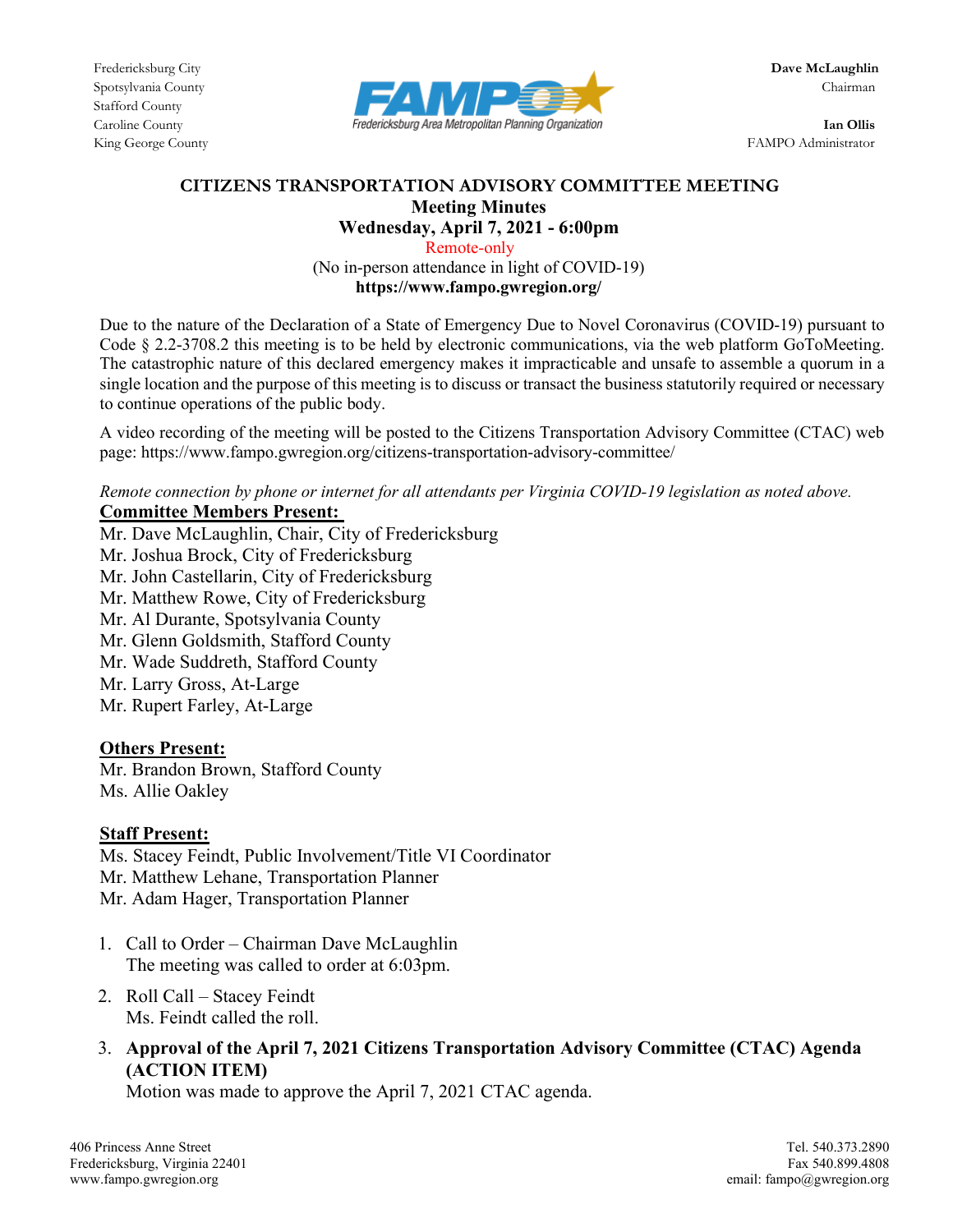Stafford County



King George County FAMPO Administrator

### **CITIZENS TRANSPORTATION ADVISORY COMMITTEE MEETING Meeting Minutes**

**Wednesday, April 7, 2021 - 6:00pm**

 Remote-only (No in-person attendance in light of COVID-19) **https://www.fampo.gwregion.org/**

Due to the nature of the Declaration of a State of Emergency Due to Novel Coronavirus (COVID-19) pursuant to Code § 2.2-3708.2 this meeting is to be held by electronic communications, via the web platform GoToMeeting. The catastrophic nature of this declared emergency makes it impracticable and unsafe to assemble a quorum in a single location and the purpose of this meeting is to discuss or transact the business statutorily required or necessary to continue operations of the public body.

A video recording of the meeting will be posted to the Citizens Transportation Advisory Committee (CTAC) web page: https://www.fampo.gwregion.org/citizens-transportation-advisory-committee/

*Remote connection by phone or internet for all attendants per Virginia COVID-19 legislation as noted above.* **Committee Members Present:** 

Mr. Dave McLaughlin, Chair, City of Fredericksburg Mr. Joshua Brock, City of Fredericksburg Mr. John Castellarin, City of Fredericksburg Mr. Matthew Rowe, City of Fredericksburg Mr. Al Durante, Spotsylvania County Mr. Glenn Goldsmith, Stafford County Mr. Wade Suddreth, Stafford County Mr. Larry Gross, At-Large Mr. Rupert Farley, At-Large

# **Others Present:**

Mr. Brandon Brown, Stafford County Ms. Allie Oakley

# **Staff Present:**

Ms. Stacey Feindt, Public Involvement/Title VI Coordinator Mr. Matthew Lehane, Transportation Planner Mr. Adam Hager, Transportation Planner

- 1. Call to Order Chairman Dave McLaughlin The meeting was called to order at 6:03pm.
- 2. Roll Call Stacey Feindt Ms. Feindt called the roll.
- 3. **Approval of the April 7, 2021 Citizens Transportation Advisory Committee (CTAC) Agenda (ACTION ITEM)**

Motion was made to approve the April 7, 2021 CTAC agenda.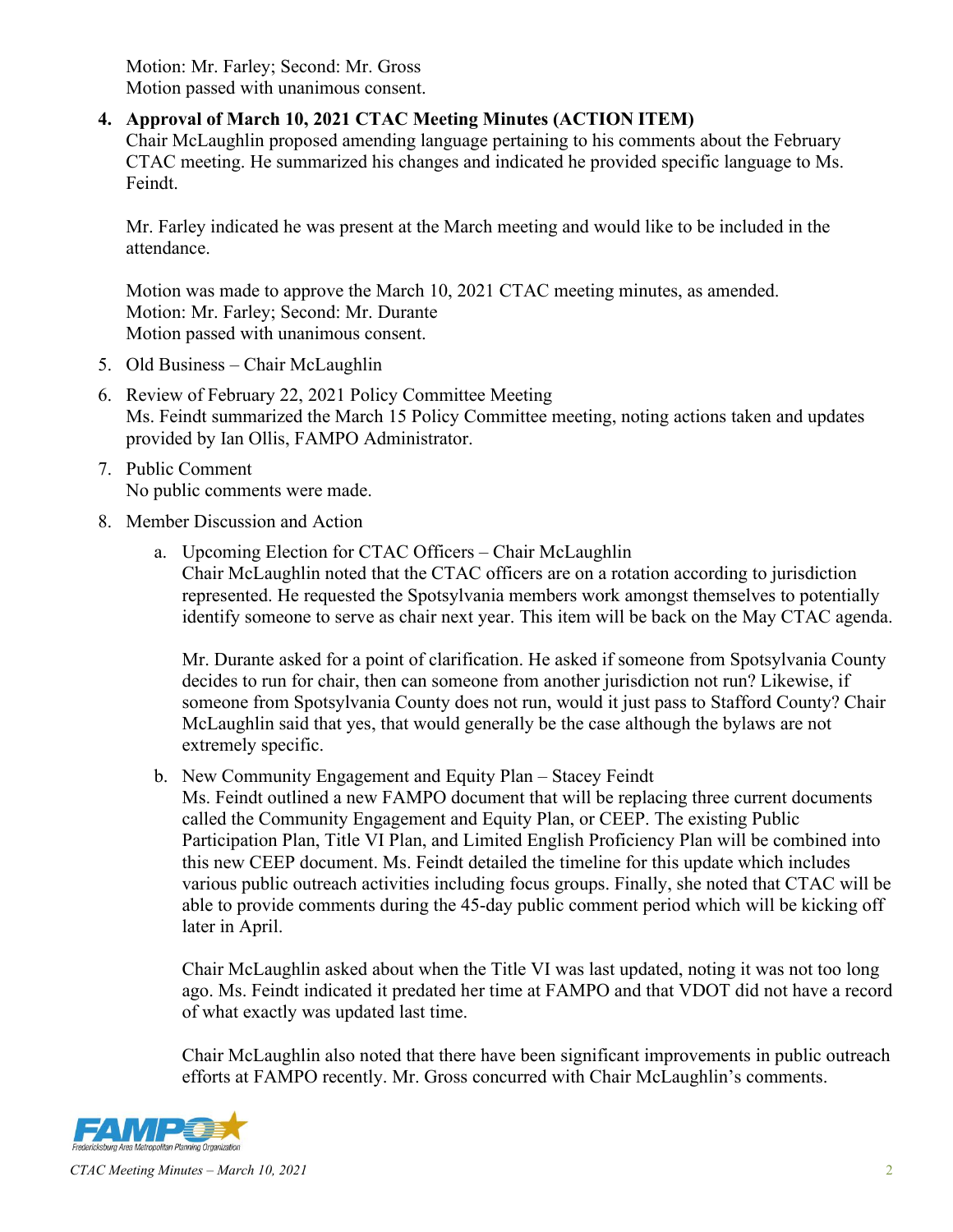Motion: Mr. Farley; Second: Mr. Gross Motion passed with unanimous consent.

## **4. Approval of March 10, 2021 CTAC Meeting Minutes (ACTION ITEM)**

Chair McLaughlin proposed amending language pertaining to his comments about the February CTAC meeting. He summarized his changes and indicated he provided specific language to Ms. Feindt.

Mr. Farley indicated he was present at the March meeting and would like to be included in the attendance.

Motion was made to approve the March 10, 2021 CTAC meeting minutes, as amended. Motion: Mr. Farley; Second: Mr. Durante Motion passed with unanimous consent.

- 5. Old Business Chair McLaughlin
- 6. Review of February 22, 2021 Policy Committee Meeting Ms. Feindt summarized the March 15 Policy Committee meeting, noting actions taken and updates provided by Ian Ollis, FAMPO Administrator.
- 7. Public Comment No public comments were made.
- 8. Member Discussion and Action
	- a. Upcoming Election for CTAC Officers Chair McLaughlin Chair McLaughlin noted that the CTAC officers are on a rotation according to jurisdiction represented. He requested the Spotsylvania members work amongst themselves to potentially identify someone to serve as chair next year. This item will be back on the May CTAC agenda.

Mr. Durante asked for a point of clarification. He asked if someone from Spotsylvania County decides to run for chair, then can someone from another jurisdiction not run? Likewise, if someone from Spotsylvania County does not run, would it just pass to Stafford County? Chair McLaughlin said that yes, that would generally be the case although the bylaws are not extremely specific.

b. New Community Engagement and Equity Plan – Stacey Feindt

Ms. Feindt outlined a new FAMPO document that will be replacing three current documents called the Community Engagement and Equity Plan, or CEEP. The existing Public Participation Plan, Title VI Plan, and Limited English Proficiency Plan will be combined into this new CEEP document. Ms. Feindt detailed the timeline for this update which includes various public outreach activities including focus groups. Finally, she noted that CTAC will be able to provide comments during the 45-day public comment period which will be kicking off later in April.

Chair McLaughlin asked about when the Title VI was last updated, noting it was not too long ago. Ms. Feindt indicated it predated her time at FAMPO and that VDOT did not have a record of what exactly was updated last time.

Chair McLaughlin also noted that there have been significant improvements in public outreach efforts at FAMPO recently. Mr. Gross concurred with Chair McLaughlin's comments.



*CTAC Meeting Minutes – March 10, 2021* 2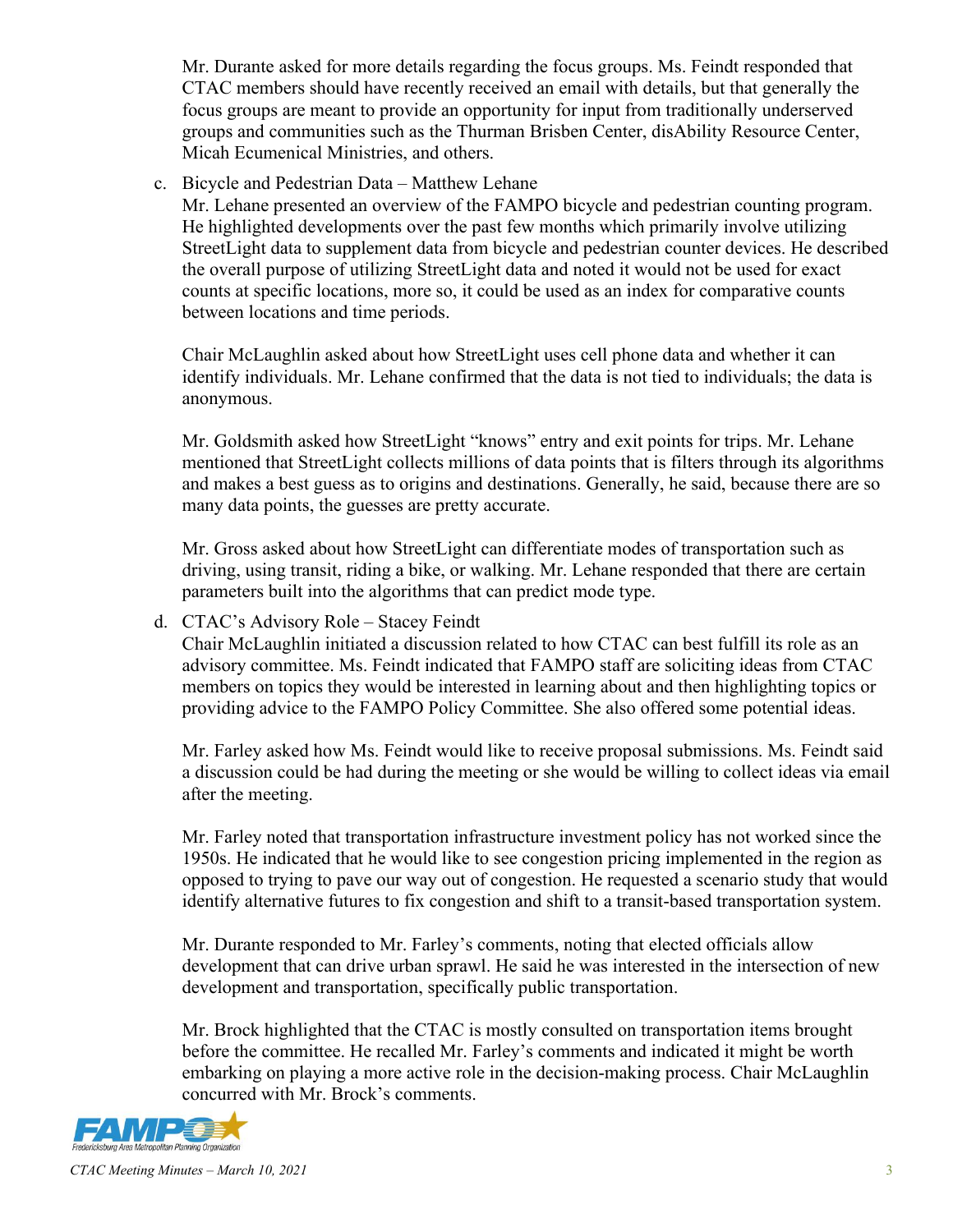Mr. Durante asked for more details regarding the focus groups. Ms. Feindt responded that CTAC members should have recently received an email with details, but that generally the focus groups are meant to provide an opportunity for input from traditionally underserved groups and communities such as the Thurman Brisben Center, disAbility Resource Center, Micah Ecumenical Ministries, and others.

c. Bicycle and Pedestrian Data – Matthew Lehane

Mr. Lehane presented an overview of the FAMPO bicycle and pedestrian counting program. He highlighted developments over the past few months which primarily involve utilizing StreetLight data to supplement data from bicycle and pedestrian counter devices. He described the overall purpose of utilizing StreetLight data and noted it would not be used for exact counts at specific locations, more so, it could be used as an index for comparative counts between locations and time periods.

Chair McLaughlin asked about how StreetLight uses cell phone data and whether it can identify individuals. Mr. Lehane confirmed that the data is not tied to individuals; the data is anonymous.

Mr. Goldsmith asked how StreetLight "knows" entry and exit points for trips. Mr. Lehane mentioned that StreetLight collects millions of data points that is filters through its algorithms and makes a best guess as to origins and destinations. Generally, he said, because there are so many data points, the guesses are pretty accurate.

Mr. Gross asked about how StreetLight can differentiate modes of transportation such as driving, using transit, riding a bike, or walking. Mr. Lehane responded that there are certain parameters built into the algorithms that can predict mode type.

d. CTAC's Advisory Role – Stacey Feindt

Chair McLaughlin initiated a discussion related to how CTAC can best fulfill its role as an advisory committee. Ms. Feindt indicated that FAMPO staff are soliciting ideas from CTAC members on topics they would be interested in learning about and then highlighting topics or providing advice to the FAMPO Policy Committee. She also offered some potential ideas.

Mr. Farley asked how Ms. Feindt would like to receive proposal submissions. Ms. Feindt said a discussion could be had during the meeting or she would be willing to collect ideas via email after the meeting.

Mr. Farley noted that transportation infrastructure investment policy has not worked since the 1950s. He indicated that he would like to see congestion pricing implemented in the region as opposed to trying to pave our way out of congestion. He requested a scenario study that would identify alternative futures to fix congestion and shift to a transit-based transportation system.

Mr. Durante responded to Mr. Farley's comments, noting that elected officials allow development that can drive urban sprawl. He said he was interested in the intersection of new development and transportation, specifically public transportation.

Mr. Brock highlighted that the CTAC is mostly consulted on transportation items brought before the committee. He recalled Mr. Farley's comments and indicated it might be worth embarking on playing a more active role in the decision-making process. Chair McLaughlin concurred with Mr. Brock's comments.